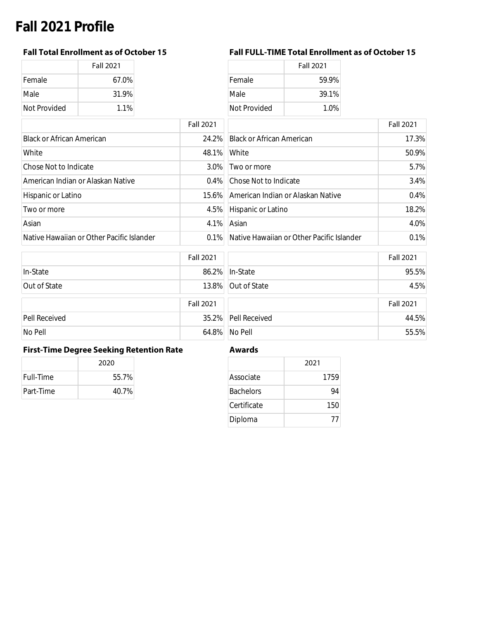# **Fall 2021 Profile**

|              | <b>Fall 2021</b> |
|--------------|------------------|
| Female       | 67.0%            |
| Male         | 31.9%            |
| Not Provided | 1.1%             |

## **Fall Total Enrollment as of October 15 Fall FULL-TIME Total Enrollment as of October 15**

| Fall 2021 |              | <b>Fall 2021</b> |
|-----------|--------------|------------------|
| 67.0%     | Female       | 59.9%            |
| 31.9%     | Male         | 39.1%            |
| 1.1%      | Not Provided | $1.0\%$          |

|                                           | <b>Fall 2021</b> |                                           | <b>Fall 2021</b> |
|-------------------------------------------|------------------|-------------------------------------------|------------------|
| <b>Black or African American</b>          | 24.2%            | <b>Black or African American</b>          | 17.3%            |
| White                                     | 48.1%            | White                                     | 50.9%            |
| <b>Chose Not to Indicate</b>              | $3.0\%$          | Two or more                               | 5.7%             |
| American Indian or Alaskan Native         |                  | 0.4% Chose Not to Indicate                | 3.4%             |
| Hispanic or Latino                        |                  | 15.6% American Indian or Alaskan Native   | 0.4%             |
| Two or more                               |                  | 4.5% Hispanic or Latino                   | 18.2%            |
| Asian                                     | 4.1%             | Asian                                     | 4.0%             |
| Native Hawaiian or Other Pacific Islander | $0.1\%$          | Native Hawaiian or Other Pacific Islander | 0.1%             |

| Fall 2021 |                                           | <b>Fall 2021</b> |
|-----------|-------------------------------------------|------------------|
| 24.2%     | <b>Black or African American</b>          | 17.3%            |
| 48.1%     | <b>White</b>                              | 50.9%            |
| 3.0%      | Two or more                               | 5.7%             |
| $0.4\%$   | Chose Not to Indicate                     | 3.4%             |
| 15.6%     | American Indian or Alaskan Native         | 0.4%             |
| 4.5%      | Hispanic or Latino                        | 18.2%            |
| 4.1%      | Asian                                     | 4.0%             |
| $0.1\%$   | Native Hawaiian or Other Pacific Islander | 0.1%             |

|               | <b>Fall 2021</b> |                     | <b>Fall 2021</b> |
|---------------|------------------|---------------------|------------------|
| In-State      |                  | 86.2% In-State      | 95.5%            |
| Out of State  |                  | 13.8% Out of State  | 4.5%             |
|               | <b>Fall 2021</b> |                     | <b>Fall 2021</b> |
| Pell Received |                  | 35.2% Pell Received | 44.5%            |
| No Pell       |                  | 64.8% No Pell       | 55.5%            |

## **First-Time Degree Seeking Retention Rate Awards**

|           | 2020  |  |
|-----------|-------|--|
| Full-Time | 55.7% |  |
| Part-Time | 40.7% |  |

|                  | 2021 |
|------------------|------|
| Associate        | 1759 |
| <b>Bachelors</b> | 94   |
| Certificate      | 150  |
| Diploma          | 77   |